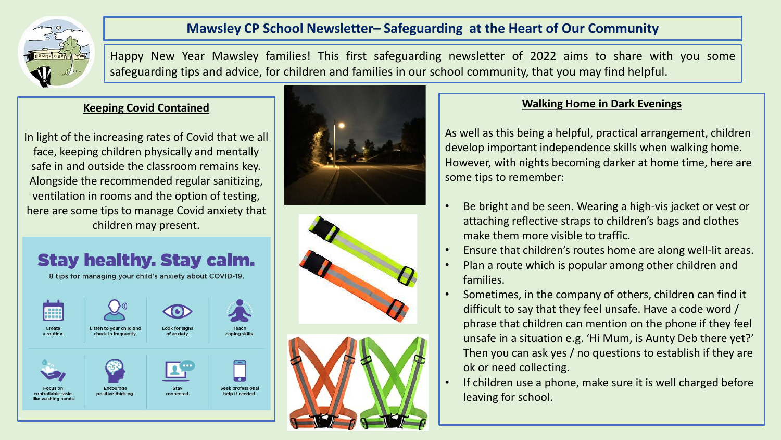

## **Mawsley CP School Newsletter– Safeguarding at the Heart of Our Community**

Happy New Year Mawsley families! This first safeguarding newsletter of 2022 aims to share with you some safeguarding tips and advice, for children and families in our school community, that you may find helpful.

#### **Keeping Covid Contained**

In light of the increasing rates of Covid that we all face, keeping children physically and mentally safe in and outside the classroom remains key. Alongside the recommended regular sanitizing, ventilation in rooms and the option of testing, here are some tips to manage Covid anxiety that children may present.

## **Stay healthy. Stay calm.** 8 tips for managing your child's anxiety about COVID-19.









#### **Walking Home in Dark Evenings**

As well as this being a helpful, practical arrangement, children develop important independence skills when walking home. However, with nights becoming darker at home time, here are some tips to remember:

- Be bright and be seen. Wearing a high-vis jacket or vest or attaching reflective straps to children's bags and clothes make them more visible to traffic.
- Ensure that children's routes home are along well-lit areas.
- Plan a route which is popular among other children and families.
- Sometimes, in the company of others, children can find it difficult to say that they feel unsafe. Have a code word / phrase that children can mention on the phone if they feel unsafe in a situation e.g. 'Hi Mum, is Aunty Deb there yet?' Then you can ask yes / no questions to establish if they are ok or need collecting.
- If children use a phone, make sure it is well charged before leaving for school.